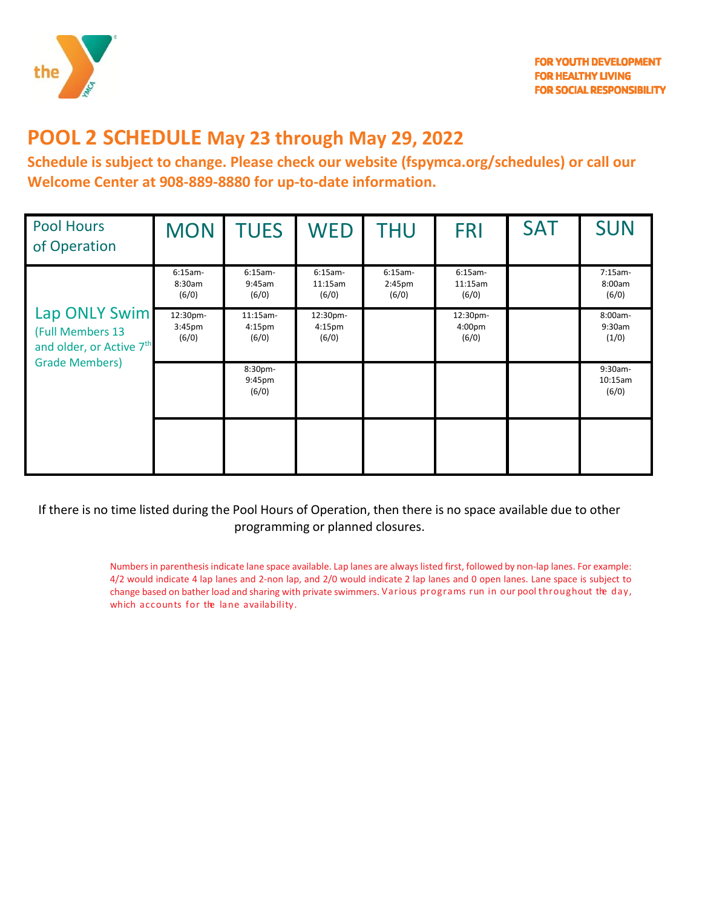

# **POOL 2 SCHEDULE May 23 through May 29, 2022**

**Schedule is subject to change. Please check our website (fspymca.org/schedules) or call our Welcome Center at 908-889-8880 for up-to-date information.**

| <b>Pool Hours</b><br>of Operation                                                                  | <b>MON</b>                   | <b>TUES</b>                               | <b>WED</b>                              | <b>THU</b>                               | <b>FRI</b>                    | <b>SAT</b> | <b>SUN</b>                    |
|----------------------------------------------------------------------------------------------------|------------------------------|-------------------------------------------|-----------------------------------------|------------------------------------------|-------------------------------|------------|-------------------------------|
| Lap ONLY Swim<br>(Full Members 13<br>and older, or Active 7 <sup>th</sup><br><b>Grade Members)</b> | $6:15am-$<br>8:30am<br>(6/0) | $6:15am-$<br>9:45am<br>(6/0)              | $6:15am-$<br>11:15am<br>(6/0)           | $6:15am-$<br>2:45 <sub>pm</sub><br>(6/0) | $6:15am-$<br>11:15am<br>(6/0) |            | $7:15am-$<br>8:00am<br>(6/0)  |
|                                                                                                    | 12:30pm-<br>3:45pm<br>(6/0)  | $11:15am-$<br>4:15 <sub>pm</sub><br>(6/0) | 12:30pm-<br>4:15 <sub>pm</sub><br>(6/0) |                                          | 12:30pm-<br>4:00pm<br>(6/0)   |            | 8:00am-<br>9:30am<br>(1/0)    |
|                                                                                                    |                              | 8:30pm-<br>9:45pm<br>(6/0)                |                                         |                                          |                               |            | $9:30am-$<br>10:15am<br>(6/0) |
|                                                                                                    |                              |                                           |                                         |                                          |                               |            |                               |

If there is no time listed during the Pool Hours of Operation, then there is no space available due to other programming or planned closures.

> Numbers in parenthesis indicate lane space available. Lap lanes are always listed first, followed by non-lap lanes. For example: 4/2 would indicate 4 lap lanes and 2-non lap, and 2/0 would indicate 2 lap lanes and 0 open lanes. Lane space is subject to change based on bather load and sharing with private swimmers. Various programs run in our pool throughout the day, which accounts for the lane availability.